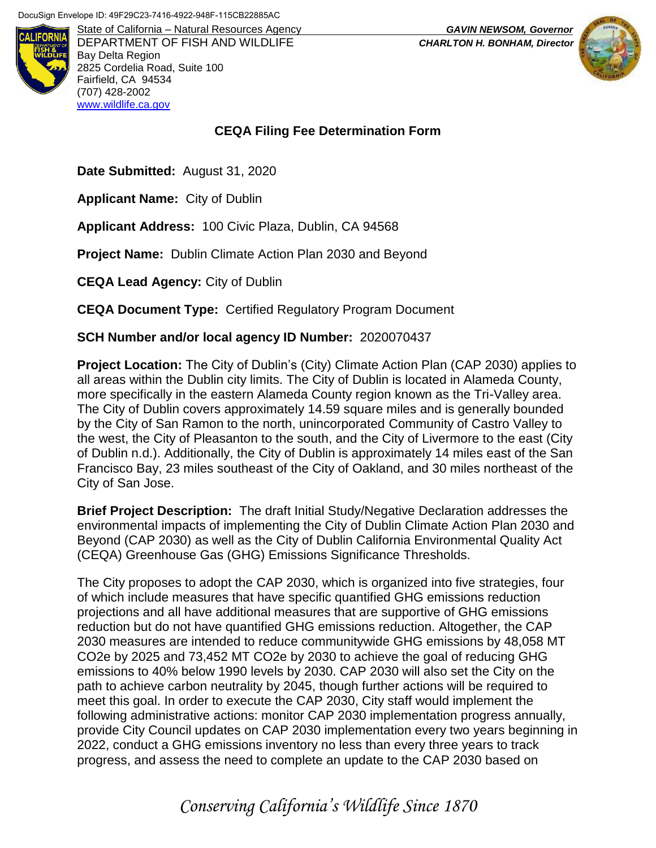

DEPARTMENT OF FISH AND WILDLIFE *CHARLTON H. BONHAM, Director* Bay Delta Region 2825 Cordelia Road, Suite 100 Fairfield, CA 94534 (707) 428-2002 [www.wildlife.ca.gov](http://www.wildlife.ca.gov/)

## **CEQA Filing Fee Determination Form**

**Date Submitted:** August 31, 2020

**Applicant Name:** City of Dublin

**Applicant Address:** 100 Civic Plaza, Dublin, CA 94568

**Project Name:** Dublin Climate Action Plan 2030 and Beyond

**CEQA Lead Agency:** City of Dublin

**CEQA Document Type:** Certified Regulatory Program Document

## **SCH Number and/or local agency ID Number:** 2020070437

**Project Location:** The City of Dublin's (City) Climate Action Plan (CAP 2030) applies to all areas within the Dublin city limits. The City of Dublin is located in Alameda County, more specifically in the eastern Alameda County region known as the Tri-Valley area. The City of Dublin covers approximately 14.59 square miles and is generally bounded by the City of San Ramon to the north, unincorporated Community of Castro Valley to the west, the City of Pleasanton to the south, and the City of Livermore to the east (City of Dublin n.d.). Additionally, the City of Dublin is approximately 14 miles east of the San Francisco Bay, 23 miles southeast of the City of Oakland, and 30 miles northeast of the City of San Jose.

**Brief Project Description:** The draft Initial Study/Negative Declaration addresses the environmental impacts of implementing the City of Dublin Climate Action Plan 2030 and Beyond (CAP 2030) as well as the City of Dublin California Environmental Quality Act (CEQA) Greenhouse Gas (GHG) Emissions Significance Thresholds.

The City proposes to adopt the CAP 2030, which is organized into five strategies, four of which include measures that have specific quantified GHG emissions reduction projections and all have additional measures that are supportive of GHG emissions reduction but do not have quantified GHG emissions reduction. Altogether, the CAP 2030 measures are intended to reduce communitywide GHG emissions by 48,058 MT CO2e by 2025 and 73,452 MT CO2e by 2030 to achieve the goal of reducing GHG emissions to 40% below 1990 levels by 2030. CAP 2030 will also set the City on the path to achieve carbon neutrality by 2045, though further actions will be required to meet this goal. In order to execute the CAP 2030, City staff would implement the following administrative actions: monitor CAP 2030 implementation progress annually, provide City Council updates on CAP 2030 implementation every two years beginning in 2022, conduct a GHG emissions inventory no less than every three years to track progress, and assess the need to complete an update to the CAP 2030 based on

State of California – Natural Resources Agency *GAVIN NEWSOM, Governor*



## *Conserving California's Wildlife Since 1870*